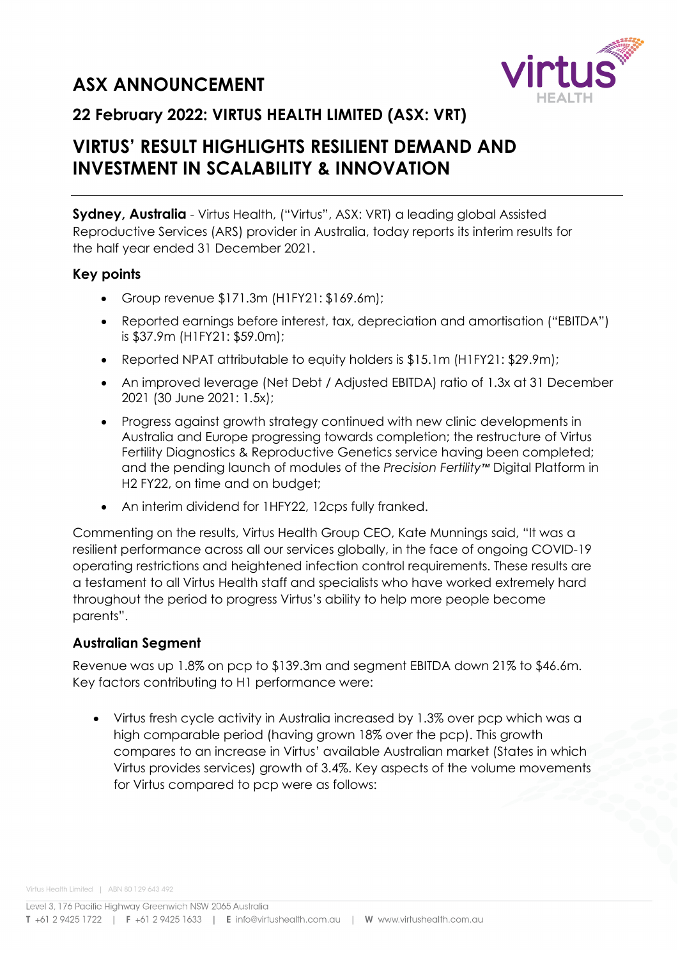# **ASX ANNOUNCEMENT**



### **22 February 2022: VIRTUS HEALTH LIMITED (ASX: VRT)**

## **VIRTUS' RESULT HIGHLIGHTS RESILIENT DEMAND AND INVESTMENT IN SCALABILITY & INNOVATION**

**Sydney, Australia** - Virtus Health, ("Virtus", ASX: VRT) a leading global Assisted Reproductive Services (ARS) provider in Australia, today reports its interim results for the half year ended 31 December 2021.

#### **Key points**

- Group revenue \$171.3m (H1FY21: \$169.6m);
- Reported earnings before interest, tax, depreciation and amortisation ("EBITDA") is \$37.9m (H1FY21: \$59.0m);
- Reported NPAT attributable to equity holders is \$15.1m (H1FY21: \$29.9m);
- An improved leverage (Net Debt / Adjusted EBITDA) ratio of 1.3x at 31 December 2021 (30 June 2021: 1.5x);
- Progress against growth strategy continued with new clinic developments in Australia and Europe progressing towards completion; the restructure of Virtus Fertility Diagnostics & Reproductive Genetics service having been completed; and the pending launch of modules of the *Precision Fertility™* Digital Platform in H2 FY22, on time and on budget;
- An interim dividend for 1HFY22, 12cps fully franked.

Commenting on the results, Virtus Health Group CEO, Kate Munnings said, "It was a resilient performance across all our services globally, in the face of ongoing COVID-19 operating restrictions and heightened infection control requirements. These results are a testament to all Virtus Health staff and specialists who have worked extremely hard throughout the period to progress Virtus's ability to help more people become parents".

### **Australian Segment**

Revenue was up 1.8% on pcp to \$139.3m and segment EBITDA down 21% to \$46.6m. Key factors contributing to H1 performance were:

• Virtus fresh cycle activity in Australia increased by 1.3% over pcp which was a high comparable period (having grown 18% over the pcp). This growth compares to an increase in Virtus' available Australian market (States in which Virtus provides services) growth of 3.4%. Key aspects of the volume movements for Virtus compared to pcp were as follows: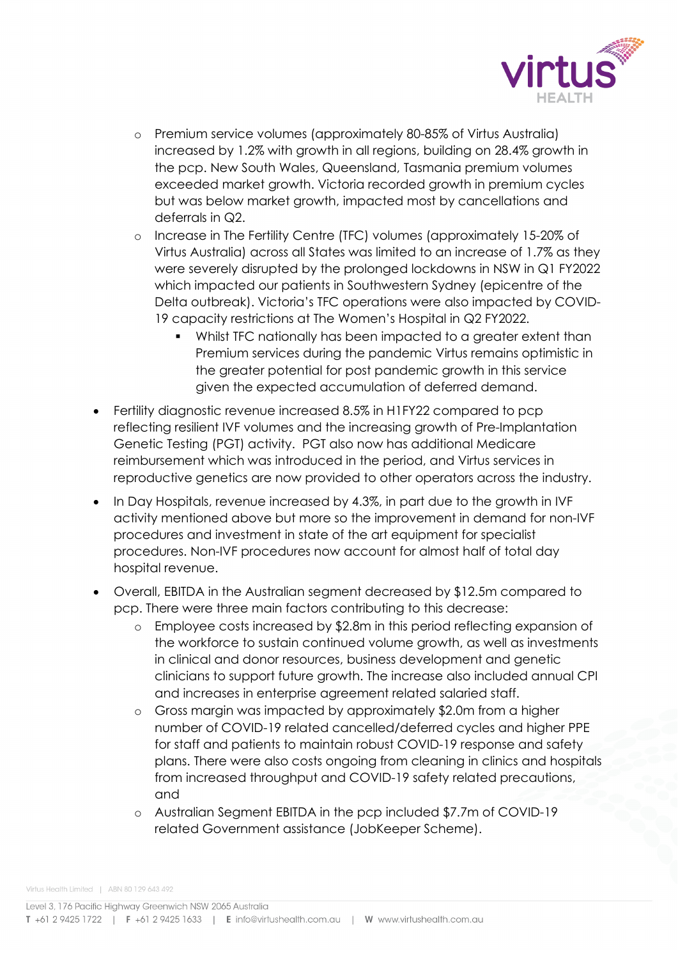

- o Premium service volumes (approximately 80-85% of Virtus Australia) increased by 1.2% with growth in all regions, building on 28.4% growth in the pcp. New South Wales, Queensland, Tasmania premium volumes exceeded market growth. Victoria recorded growth in premium cycles but was below market growth, impacted most by cancellations and deferrals in Q2.
- o Increase in The Fertility Centre (TFC) volumes (approximately 15-20% of Virtus Australia) across all States was limited to an increase of 1.7% as they were severely disrupted by the prolonged lockdowns in NSW in Q1 FY2022 which impacted our patients in Southwestern Sydney (epicentre of the Delta outbreak). Victoria's TFC operations were also impacted by COVID-19 capacity restrictions at The Women's Hospital in Q2 FY2022.
	- Whilst TFC nationally has been impacted to a greater extent than Premium services during the pandemic Virtus remains optimistic in the greater potential for post pandemic growth in this service given the expected accumulation of deferred demand.
- Fertility diagnostic revenue increased 8.5% in H1FY22 compared to pcp reflecting resilient IVF volumes and the increasing growth of Pre-Implantation Genetic Testing (PGT) activity. PGT also now has additional Medicare reimbursement which was introduced in the period, and Virtus services in reproductive genetics are now provided to other operators across the industry.
- In Day Hospitals, revenue increased by 4.3%, in part due to the growth in IVF activity mentioned above but more so the improvement in demand for non-IVF procedures and investment in state of the art equipment for specialist procedures. Non-IVF procedures now account for almost half of total day hospital revenue.
- Overall, EBITDA in the Australian segment decreased by \$12.5m compared to pcp. There were three main factors contributing to this decrease:
	- o Employee costs increased by \$2.8m in this period reflecting expansion of the workforce to sustain continued volume growth, as well as investments in clinical and donor resources, business development and genetic clinicians to support future growth. The increase also included annual CPI and increases in enterprise agreement related salaried staff.
	- o Gross margin was impacted by approximately \$2.0m from a higher number of COVID-19 related cancelled/deferred cycles and higher PPE for staff and patients to maintain robust COVID-19 response and safety plans. There were also costs ongoing from cleaning in clinics and hospitals from increased throughput and COVID-19 safety related precautions, and
	- o Australian Segment EBITDA in the pcp included \$7.7m of COVID-19 related Government assistance (JobKeeper Scheme).

Virtus Health Limited | ABN 80 129 643 492

Level 3, 176 Pacific Highway Greenwich NSW 2065 Australia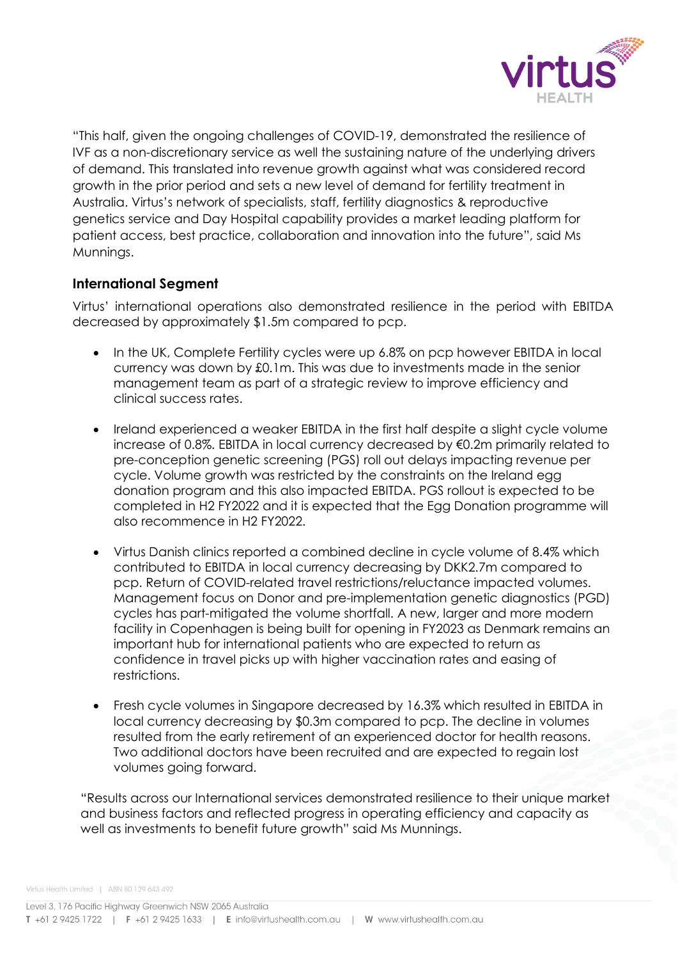

"This half, given the ongoing challenges of COVID-19, demonstrated the resilience of IVF as a non-discretionary service as well the sustaining nature of the underlying drivers of demand. This translated into revenue growth against what was considered record growth in the prior period and sets a new level of demand for fertility treatment in Australia. Virtus's network of specialists, staff, fertility diagnostics & reproductive genetics service and Day Hospital capability provides a market leading platform for patient access, best practice, collaboration and innovation into the future", said Ms Munnings.

#### **International Segment**

Virtus' international operations also demonstrated resilience in the period with EBITDA decreased by approximately \$1.5m compared to pcp.

- In the UK, Complete Fertility cycles were up 6.8% on pcp however EBITDA in local currency was down by £0.1m. This was due to investments made in the senior management team as part of a strategic review to improve efficiency and clinical success rates.
- Ireland experienced a weaker EBITDA in the first half despite a slight cycle volume increase of 0.8%. EBITDA in local currency decreased by €0.2m primarily related to pre-conception genetic screening (PGS) roll out delays impacting revenue per cycle. Volume growth was restricted by the constraints on the Ireland egg donation program and this also impacted EBITDA. PGS rollout is expected to be completed in H2 FY2022 and it is expected that the Egg Donation programme will also recommence in H2 FY2022.
- Virtus Danish clinics reported a combined decline in cycle volume of 8.4% which contributed to EBITDA in local currency decreasing by DKK2.7m compared to pcp. Return of COVID-related travel restrictions/reluctance impacted volumes. Management focus on Donor and pre-implementation genetic diagnostics (PGD) cycles has part-mitigated the volume shortfall. A new, larger and more modern facility in Copenhagen is being built for opening in FY2023 as Denmark remains an important hub for international patients who are expected to return as confidence in travel picks up with higher vaccination rates and easing of restrictions.
- Fresh cycle volumes in Singapore decreased by 16.3% which resulted in EBITDA in local currency decreasing by \$0.3m compared to pcp. The decline in volumes resulted from the early retirement of an experienced doctor for health reasons. Two additional doctors have been recruited and are expected to regain lost volumes going forward.

"Results across our International services demonstrated resilience to their unique market and business factors and reflected progress in operating efficiency and capacity as well as investments to benefit future growth" said Ms Munnings.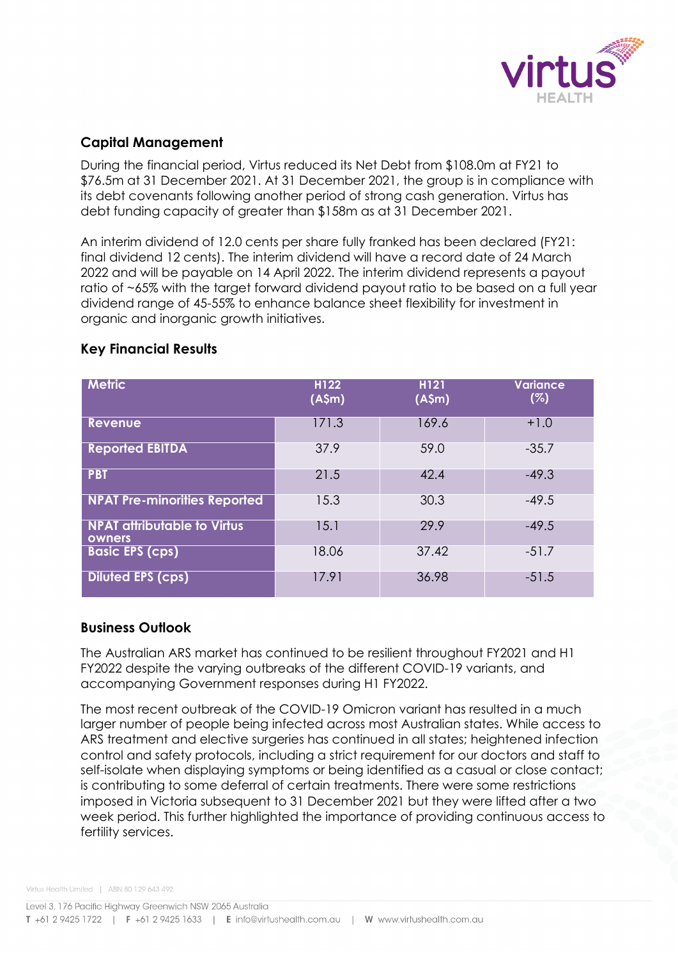

### **Capital Management**

During the financial period, Virtus reduced its Net Debt from \$108.0m at FY21 to \$76.5m at 31 December 2021. At 31 December 2021, the group is in compliance with its debt covenants following another period of strong cash generation. Virtus has debt funding capacity of greater than \$158m as at 31 December 2021.

An interim dividend of 12.0 cents per share fully franked has been declared (FY21: final dividend 12 cents). The interim dividend will have a record date of 24 March 2022 and will be payable on 14 April 2022. The interim dividend represents a payout ratio of ~65% with the target forward dividend payout ratio to be based on a full year dividend range of 45-55% to enhance balance sheet flexibility for investment in organic and inorganic growth initiatives.

| <b>Metric</b>                                | H122<br>(A\$m) | H121<br>(A\$m) | <b>Variance</b><br>(%) |
|----------------------------------------------|----------------|----------------|------------------------|
| <b>Revenue</b>                               | 171.3          | 169.6          | $+1.0$                 |
| <b>Reported EBITDA</b>                       | 37.9           | 59.0           | $-35.7$                |
| <b>PBT</b>                                   | 21.5           | 42.4           | $-49.3$                |
| <b>NPAT Pre-minorities Reported</b>          | 15.3           | 30.3           | $-49.5$                |
| <b>NPAT attributable to Virtus</b><br>owners | 15.1           | 29.9           | $-49.5$                |
| <b>Basic EPS (cps)</b>                       | 18.06          | 37.42          | $-51.7$                |
| <b>Diluted EPS (cps)</b>                     | 17.91          | 36.98          | $-51.5$                |

#### **Key Financial Results**

#### **Business Outlook**

The Australian ARS market has continued to be resilient throughout FY2021 and H1 FY2022 despite the varying outbreaks of the different COVID-19 variants, and accompanying Government responses during H1 FY2022.

The most recent outbreak of the COVID-19 Omicron variant has resulted in a much larger number of people being infected across most Australian states. While access to ARS treatment and elective surgeries has continued in all states; heightened infection control and safety protocols, including a strict requirement for our doctors and staff to self-isolate when displaying symptoms or being identified as a casual or close contact; is contributing to some deferral of certain treatments. There were some restrictions imposed in Victoria subsequent to 31 December 2021 but they were lifted after a two week period. This further highlighted the importance of providing continuous access to fertility services.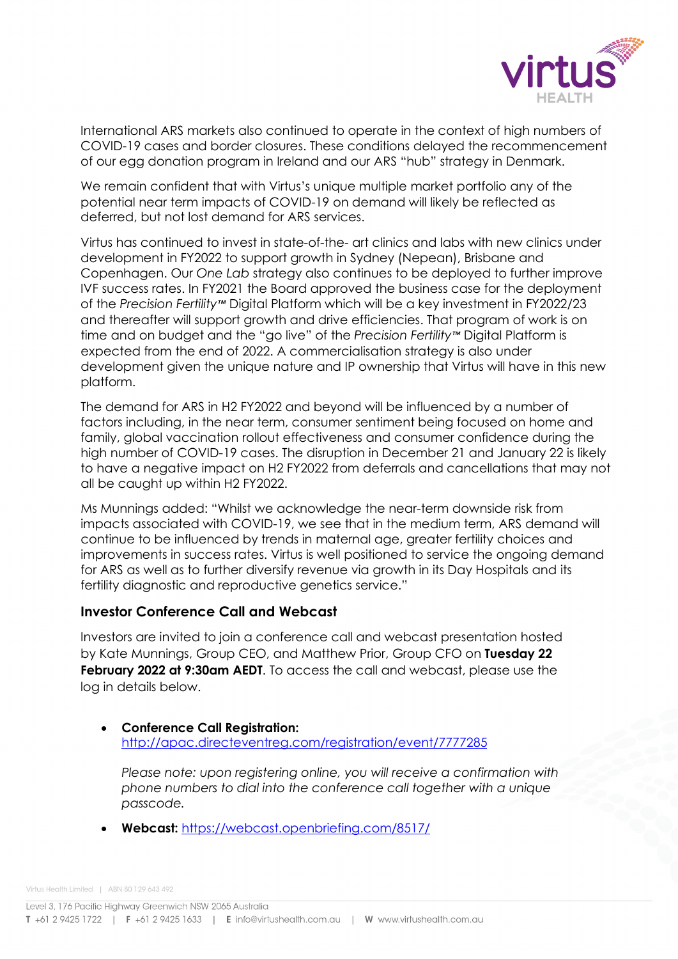

International ARS markets also continued to operate in the context of high numbers of COVID-19 cases and border closures. These conditions delayed the recommencement of our egg donation program in Ireland and our ARS "hub" strategy in Denmark.

We remain confident that with Virtus's unique multiple market portfolio any of the potential near term impacts of COVID-19 on demand will likely be reflected as deferred, but not lost demand for ARS services.

Virtus has continued to invest in state-of-the- art clinics and labs with new clinics under development in FY2022 to support growth in Sydney (Nepean), Brisbane and Copenhagen. Our *One Lab* strategy also continues to be deployed to further improve IVF success rates. In FY2021 the Board approved the business case for the deployment of the *Precision Fertility™* Digital Platform which will be a key investment in FY2022/23 and thereafter will support growth and drive efficiencies. That program of work is on time and on budget and the "go live" of the *Precision Fertility™* Digital Platform is expected from the end of 2022. A commercialisation strategy is also under development given the unique nature and IP ownership that Virtus will have in this new platform.

The demand for ARS in H2 FY2022 and beyond will be influenced by a number of factors including, in the near term, consumer sentiment being focused on home and family, global vaccination rollout effectiveness and consumer confidence during the high number of COVID-19 cases. The disruption in December 21 and January 22 is likely to have a negative impact on H2 FY2022 from deferrals and cancellations that may not all be caught up within H2 FY2022.

Ms Munnings added: "Whilst we acknowledge the near-term downside risk from impacts associated with COVID-19, we see that in the medium term, ARS demand will continue to be influenced by trends in maternal age, greater fertility choices and improvements in success rates. Virtus is well positioned to service the ongoing demand for ARS as well as to further diversify revenue via growth in its Day Hospitals and its fertility diagnostic and reproductive genetics service."

#### **Investor Conference Call and Webcast**

Investors are invited to join a conference call and webcast presentation hosted by Kate Munnings, Group CEO, and Matthew Prior, Group CFO on **Tuesday 22 February 2022 at 9:30am AEDT**. To access the call and webcast, please use the log in details below.

#### • **Conference Call Registration:** <http://apac.directeventreg.com/registration/event/7777285>

*Please note: upon registering online, you will receive a confirmation with phone numbers to dial into the conference call together with a unique passcode.*

• **Webcast:** <https://webcast.openbriefing.com/8517/>